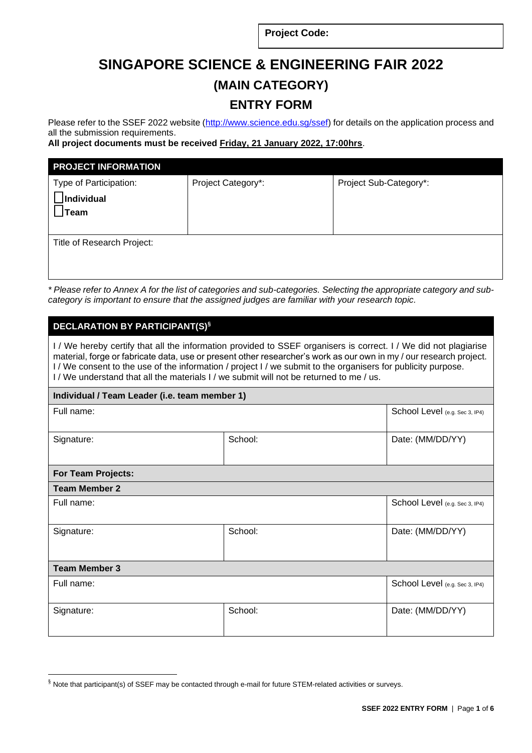**Project Code:**

# **SINGAPORE SCIENCE & ENGINEERING FAIR 2022 (MAIN CATEGORY) ENTRY FORM**

Please refer to the SSEF 2022 website [\(http://www.science.edu.sg/ssef\)](http://www.science.edu.sg/ssef) for details on the application process and all the submission requirements.

**All project documents must be received Friday, 21 January 2022, 17:00hrs**.

| <b>PROJECT INFORMATION</b>                   |                    |                        |
|----------------------------------------------|--------------------|------------------------|
| Type of Participation:<br>Individual<br>Team | Project Category*: | Project Sub-Category*: |
| Title of Research Project:                   |                    |                        |

*\* Please refer to Annex A for the list of categories and sub-categories. Selecting the appropriate category and subcategory is important to ensure that the assigned judges are familiar with your research topic.* 

## **DECLARATION BY PARTICIPANT(S)§**

I / We hereby certify that all the information provided to SSEF organisers is correct. I / We did not plagiarise material, forge or fabricate data, use or present other researcher's work as our own in my / our research project. I / We consent to the use of the information / project I / we submit to the organisers for publicity purpose. I/ We understand that all the materials I/ we submit will not be returned to me / us.

## **Individual / Team Leader (i.e. team member 1)**

| Full name:                |         | School Level (e.g. Sec 3, IP4) |  |
|---------------------------|---------|--------------------------------|--|
| Signature:                | School: | Date: (MM/DD/YY)               |  |
| <b>For Team Projects:</b> |         |                                |  |
| <b>Team Member 2</b>      |         |                                |  |
| Full name:                |         | School Level (e.g. Sec 3, IP4) |  |
| Signature:                | School: | Date: (MM/DD/YY)               |  |
| <b>Team Member 3</b>      |         |                                |  |
| Full name:                |         | School Level (e.g. Sec 3, IP4) |  |
| Signature:                | School: | Date: (MM/DD/YY)               |  |

<sup>§</sup> Note that participant(s) of SSEF may be contacted through e-mail for future STEM-related activities or surveys.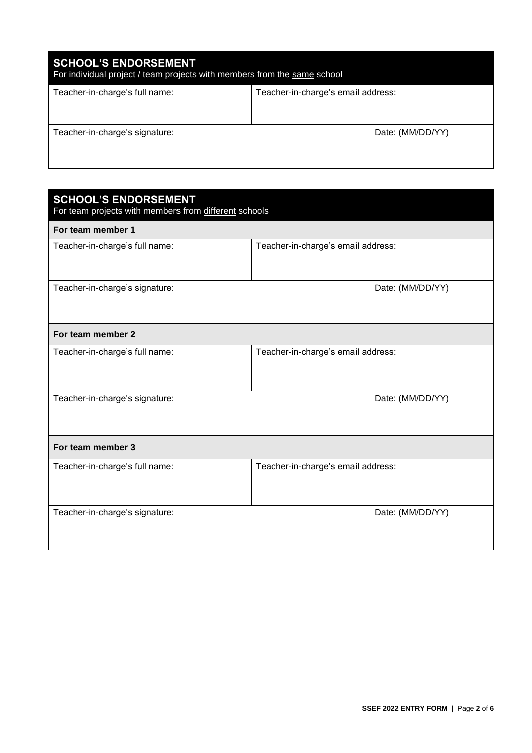| <b>SCHOOL'S ENDORSEMENT</b><br>For individual project / team projects with members from the same school |                                    |                  |  |
|---------------------------------------------------------------------------------------------------------|------------------------------------|------------------|--|
| Teacher-in-charge's full name:                                                                          | Teacher-in-charge's email address: |                  |  |
| Teacher-in-charge's signature:                                                                          |                                    | Date: (MM/DD/YY) |  |

| <b>SCHOOL'S ENDORSEMENT</b><br>For team projects with members from different schools |                                    |                  |  |
|--------------------------------------------------------------------------------------|------------------------------------|------------------|--|
| For team member 1                                                                    |                                    |                  |  |
| Teacher-in-charge's full name:                                                       | Teacher-in-charge's email address: |                  |  |
| Teacher-in-charge's signature:                                                       |                                    | Date: (MM/DD/YY) |  |
| For team member 2                                                                    |                                    |                  |  |
| Teacher-in-charge's full name:                                                       | Teacher-in-charge's email address: |                  |  |
| Teacher-in-charge's signature:                                                       |                                    | Date: (MM/DD/YY) |  |
| For team member 3                                                                    |                                    |                  |  |
| Teacher-in-charge's full name:                                                       | Teacher-in-charge's email address: |                  |  |
| Teacher-in-charge's signature:                                                       |                                    | Date: (MM/DD/YY) |  |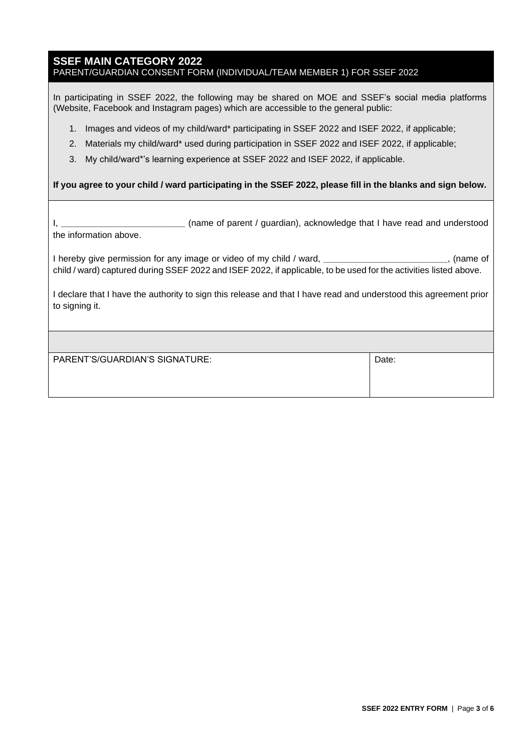## **SSEF MAIN CATEGORY 2022** PARENT/GUARDIAN CONSENT FORM (INDIVIDUAL/TEAM MEMBER 1) FOR SSEF 2022

In participating in SSEF 2022, the following may be shared on MOE and SSEF's social media platforms (Website, Facebook and Instagram pages) which are accessible to the general public:

- 1. Images and videos of my child/ward\* participating in SSEF 2022 and ISEF 2022, if applicable;
- 2. Materials my child/ward\* used during participation in SSEF 2022 and ISEF 2022, if applicable;
- 3. My child/ward\*'s learning experience at SSEF 2022 and ISEF 2022, if applicable.

## **If you agree to your child / ward participating in the SSEF 2022, please fill in the blanks and sign below.**

I, **\_\_\_\_\_\_\_\_\_\_\_\_\_\_\_\_\_\_\_\_\_\_\_\_\_** (name of parent / guardian), acknowledge that I have read and understood the information above.

I hereby give permission for any image or video of my child / ward, **\_\_\_\_\_\_\_\_\_\_\_\_\_\_\_\_\_\_\_\_\_\_\_\_\_**, (name of child / ward) captured during SSEF 2022 and ISEF 2022, if applicable, to be used for the activities listed above.

I declare that I have the authority to sign this release and that I have read and understood this agreement prior to signing it.

PARENT'S/GUARDIAN'S SIGNATURE: DATE: Date: Date: Date: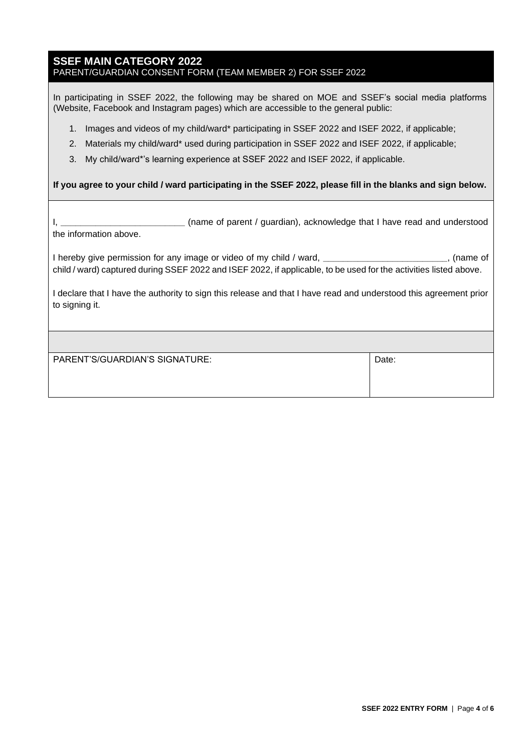## **SSEF MAIN CATEGORY 2022** PARENT/GUARDIAN CONSENT FORM (TEAM MEMBER 2) FOR SSEF 2022

In participating in SSEF 2022, the following may be shared on MOE and SSEF's social media platforms (Website, Facebook and Instagram pages) which are accessible to the general public:

- 1. Images and videos of my child/ward\* participating in SSEF 2022 and ISEF 2022, if applicable;
- 2. Materials my child/ward\* used during participation in SSEF 2022 and ISEF 2022, if applicable;
- 3. My child/ward\*'s learning experience at SSEF 2022 and ISEF 2022, if applicable.

## **If you agree to your child / ward participating in the SSEF 2022, please fill in the blanks and sign below.**

I, **\_\_\_\_\_\_\_\_\_\_\_\_\_\_\_\_\_\_\_\_\_\_\_\_\_** (name of parent / guardian), acknowledge that I have read and understood the information above.

I hereby give permission for any image or video of my child / ward, **\_\_\_\_\_\_\_\_\_\_\_\_\_\_\_\_\_\_\_\_\_\_\_\_\_**, (name of child / ward) captured during SSEF 2022 and ISEF 2022, if applicable, to be used for the activities listed above.

I declare that I have the authority to sign this release and that I have read and understood this agreement prior to signing it.

| PARENT'S/GUARDIAN'S SIGNATURE: | Date: |  |
|--------------------------------|-------|--|
|--------------------------------|-------|--|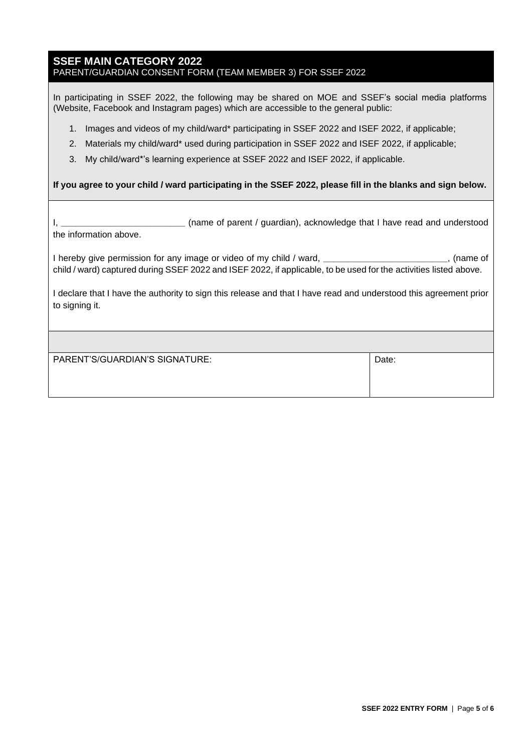## **SSEF MAIN CATEGORY 2022** PARENT/GUARDIAN CONSENT FORM (TEAM MEMBER 3) FOR SSEF 2022

In participating in SSEF 2022, the following may be shared on MOE and SSEF's social media platforms (Website, Facebook and Instagram pages) which are accessible to the general public:

- 1. Images and videos of my child/ward\* participating in SSEF 2022 and ISEF 2022, if applicable;
- 2. Materials my child/ward\* used during participation in SSEF 2022 and ISEF 2022, if applicable;
- 3. My child/ward\*'s learning experience at SSEF 2022 and ISEF 2022, if applicable.

## **If you agree to your child / ward participating in the SSEF 2022, please fill in the blanks and sign below.**

I, **\_\_\_\_\_\_\_\_\_\_\_\_\_\_\_\_\_\_\_\_\_\_\_\_\_** (name of parent / guardian), acknowledge that I have read and understood the information above.

I hereby give permission for any image or video of my child / ward, **\_\_\_\_\_\_\_\_\_\_\_\_\_\_\_\_\_\_\_\_\_\_\_\_\_**, (name of child / ward) captured during SSEF 2022 and ISEF 2022, if applicable, to be used for the activities listed above.

I declare that I have the authority to sign this release and that I have read and understood this agreement prior to signing it.

| PARENT'S/GUARDIAN'S SIGNATURE: | Date: |
|--------------------------------|-------|
|--------------------------------|-------|